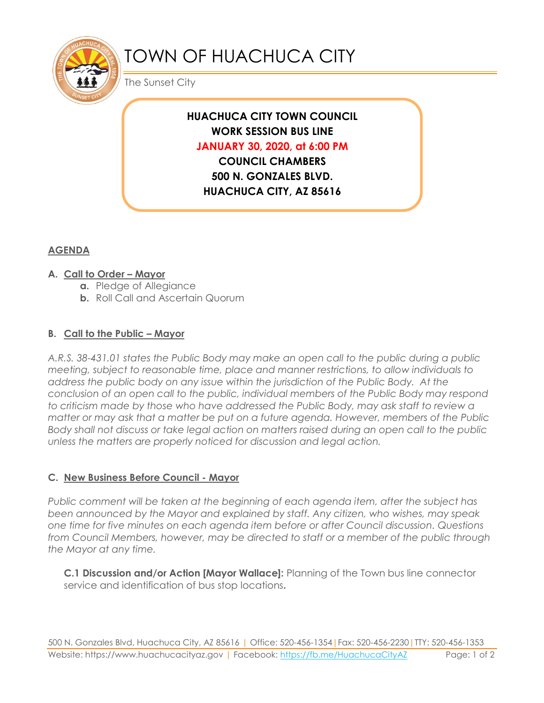

# TOWN OF HUACHUCA CITY

The Sunset City

## **HUACHUCA CITY TOWN COUNCIL WORK SESSION BUS LINE JANUARY 30, 2020, at 6:00 PM COUNCIL CHAMBERS 500 N. GONZALES BLVD. HUACHUCA CITY, AZ 85616**

### **AGENDA**

#### **A. Call to Order – Mayor**

- **a.** Pledge of Allegiance
- **b.** Roll Call and Ascertain Quorum

#### **B. Call to the Public – Mayor**

*A.R.S. 38-431.01 states the Public Body may make an open call to the public during a public meeting, subject to reasonable time, place and manner restrictions, to allow individuals to address the public body on any issue within the jurisdiction of the Public Body. At the conclusion of an open call to the public, individual members of the Public Body may respond to criticism made by those who have addressed the Public Body, may ask staff to review a matter or may ask that a matter be put on a future agenda. However, members of the Public Body shall not discuss or take legal action on matters raised during an open call to the public unless the matters are properly noticed for discussion and legal action.*

#### **C. New Business Before Council - Mayor**

*Public comment will be taken at the beginning of each agenda item, after the subject has been announced by the Mayor and explained by staff. Any citizen, who wishes, may speak one time for five minutes on each agenda item before or after Council discussion. Questions from Council Members, however, may be directed to staff or a member of the public through the Mayor at any time.* 

**C.1 Discussion and/or Action [Mayor Wallace]:** Planning of the Town bus line connector service and identification of bus stop locations**.**